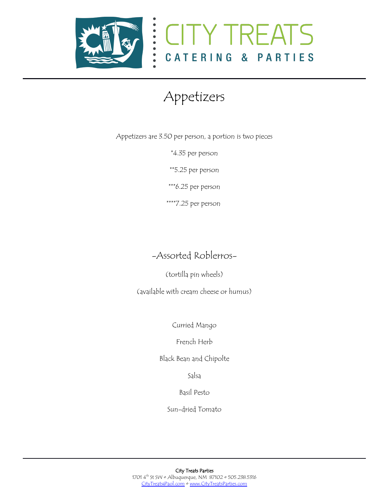



## Appetizers

Appetizers are 3.50 per person, a portion is two pieces

\*4.35 per person

\*\*5.25 per person

\*\*\*6.25 per person

\*\*\*\*7.25 per person

### -Assorted Roblerros-

(tortilla pin wheels)

(available with cream cheese or humus)

Curried Mango

#### French Herb

#### Black Bean and Chipolte

Salsa

Basil Pesto

Sun-dried Tomato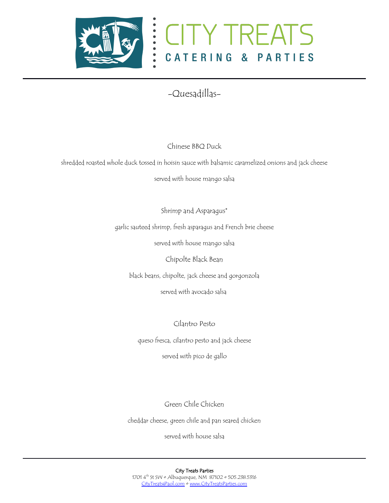



-Quesadillas-

Chinese BBQ Duck

shredded roasted whole duck tossed in hoisin sauce with balsamic caramelized onions and jack cheese

served with house mango salsa

Shrimp and Asparagus\*

garlic sauteed shrimp, fresh asparagus and French brie cheese

served with house mango salsa

Chipolte Black Bean

black beans, chipolte, jack cheese and gorgonzola

served with avocado salsa

Cilantro Pesto

queso fresca, cilantro pesto and jack cheese

served with pico de gallo

Green Chile Chicken

cheddar cheese, green chile and pan seared chicken

served with house salsa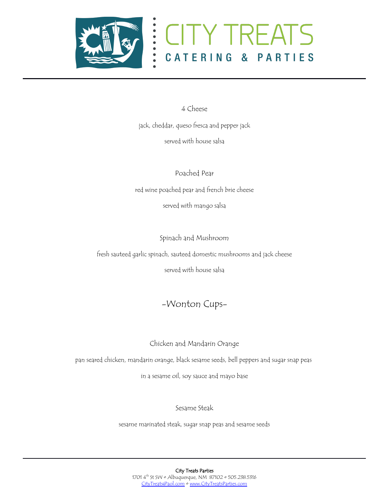



4 Cheese

jack, cheddar, queso fresca and pepper jack served with house salsa

Poached Pear red wine poached pear and french brie cheese served with mango salsa

Spinach and Mushroom

fresh sauteed garlic spinach, sauteed domestic mushrooms and jack cheese

served with house salsa

## -Wonton Cups-

#### Chicken and Mandarin Orange

pan seared chicken, mandarin orange, black sesame seeds, bell peppers and sugar snap peas

in a sesame oil, soy sauce and mayo base

Sesame Steak

sesame marinated steak, sugar snap peas and sesame seeds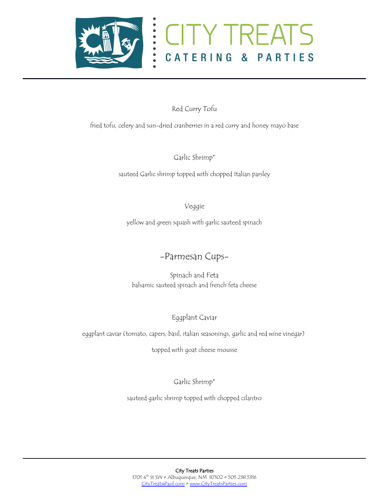



Red Curry Tofu

fried tofu, celery and sun-dried cranberries in a red curry and honey mayo base

Garlic Shrimp\*

sauteed Garlic shrimp topped with chopped Italian parsley

Veggie

yellow and green squash with garlic sauteed spinach

## -Parmesan Cups-

Spinach and Feta balsamic sauteed spinach and french feta cheese

#### Eggplant Caviar

eggplant caviar (tomato, capers, basil, italian seasonings, garlic and red wine vinegar)

topped with goat cheese mousse

Garlic Shrimp\*

sauteed garlic shrimp topped with chopped cilantro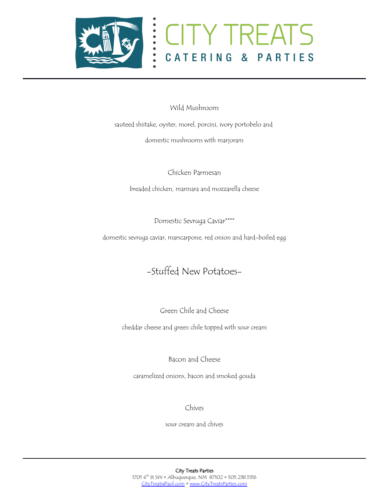



Wild Mushroom

sauteed shiitake, oyster, morel, porcini, ivory portobelo and

domestic mushrooms with marjoram

Chicken Parmesan

breaded chicken, marinara and mozzarella cheese

Domestic Sevruga Caviar\*\*\*\*

domestic sevruga caviar, marscarpone, red onion and hard-boiled egg

## -Stuffed New Potatoes-

Green Chile and Cheese

cheddar cheese and green chile topped with sour cream

Bacon and Cheese

caramelized onions, bacon and smoked gouda

Chives

sour cream and chives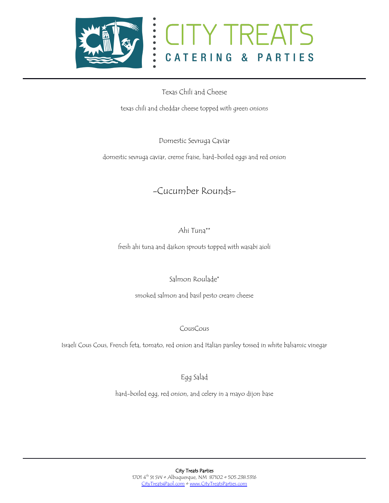

Texas Chili and Cheese

texas chili and cheddar cheese topped with green onions

Domestic Sevruga Caviar

domestic sevruga caviar, creme fraise, hard-boiled eggs and red onion

### -Cucumber Rounds-

#### Ahi Tuna\*\*

fresh ahi tuna and daikon sprouts topped with wasabi aioli

Salmon Roulade\*

smoked salmon and basil pesto cream cheese

CousCous

Israeli Cous Cous, French feta, tomato, red onion and Italian parsley tossed in white balsamic vinegar

Egg Salad

hard-boiled egg, red onion, and celery in a mayo dijon base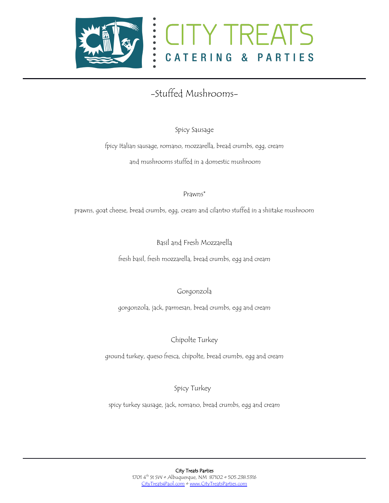



## -Stuffed Mushrooms-

Spicy Sausage

fpicy Italian sausage, romano, mozzarella, bread crumbs, egg, cream and mushrooms stuffed in a domestic mushroom

Prawns\*

prawns, goat cheese, bread crumbs, egg, cream and cilantro stuffed in a shiitake mushroom

Basil and Fresh Mozzarella

fresh basil, fresh mozzarella, bread crumbs, egg and cream

Gorgonzola

gorgonzola, jack, parmesan, bread crumbs, egg and cream

Chipolte Turkey

ground turkey, queso fresca, chipolte, bread crumbs, egg and cream

Spicy Turkey

spicy turkey sausage, jack, romano, bread crumbs, egg and cream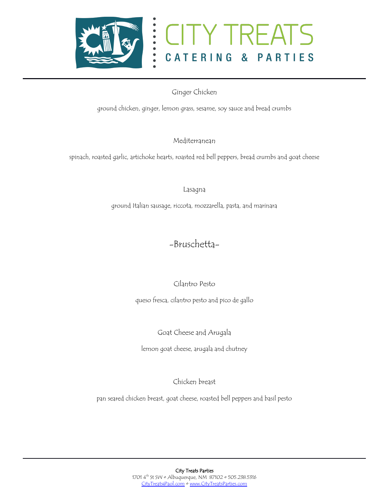



Ginger Chicken

ground chicken, ginger, lemon grass, sesame, soy sauce and bread crumbs

Mediterranean

spinach, roasted garlic, artichoke hearts, roasted red bell peppers, bread crumbs and goat cheese

Lasagna

ground Italian sausage, riccota, mozzarella, pasta, and marinara

## -Bruschetta-

Cilantro Pesto

queso fresca, cilantro pesto and pico de gallo

Goat Cheese and Arugala

lemon goat cheese, arugala and chutney

Chicken breast

pan seared chicken breast, goat cheese, roasted bell peppers and basil pesto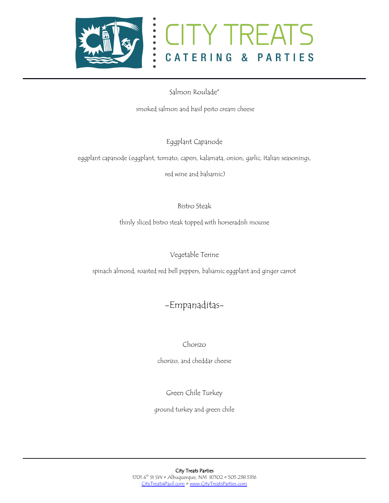



Salmon Roulade\*

smoked salmon and basil pesto cream cheese

Eggplant Capanode

eggplant capanode (eggplant, tomato, capers, kalamata, onion, garlic, Italian seasonings,

red wine and balsamic)

#### Bistro Steak

thinly sliced bistro steak topped with horseradish mousse

#### Vegetable Terine

spinach almond, roasted red bell peppers, balsamic eggplant and ginger carrot

## -Empanaditas-

#### Chorizo

chorizo, and cheddar cheese

#### Green Chile Turkey

ground turkey and green chile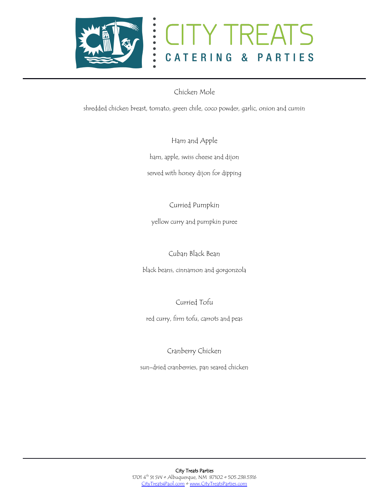



Chicken Mole

shredded chicken breast, tomato, green chile, coco powder, garlic, onion and cumin

Ham and Apple

ham, apple, swiss cheese and dijon

served with honey dijon for dipping

Curried Pumpkin

yellow curry and pumpkin puree

Cuban Black Bean

black beans, cinnamon and gorgonzola

Curried Tofu

red curry, firm tofu, carrots and peas

Cranberry Chicken

sun-dried cranberries, pan seared chicken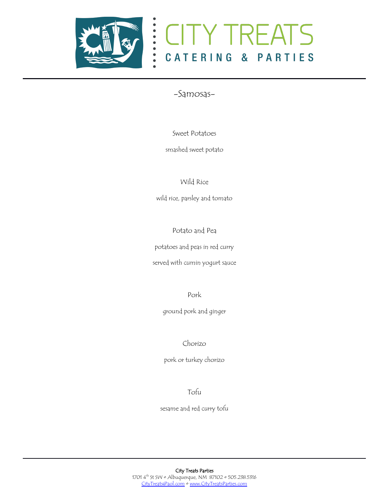



#### -Samosas-

Sweet Potatoes

smashed sweet potato

Wild Rice

wild rice, parsley and tomato

Potato and Pea

potatoes and peas in red curry

served with cumin yogurt sauce

Pork

ground pork and ginger

Chorizo

pork or turkey chorizo

Tofu

sesame and red curry tofu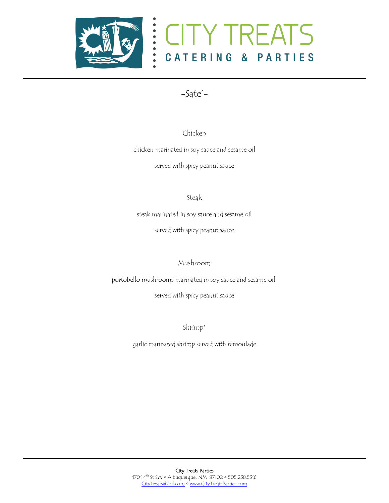

## **CITY TREATS** CATERING & PARTIES

-Sate'-

#### Chicken

chicken marinated in soy sauce and sesame oil

served with spicy peanut sauce

#### Steak

steak marinated in soy sauce and sesame oil

served with spicy peanut sauce

#### Mushroom

portobello mushrooms marinated in soy sauce and sesame oil

served with spicy peanut sauce

Shrimp\*

garlic marinated shrimp served with remoulade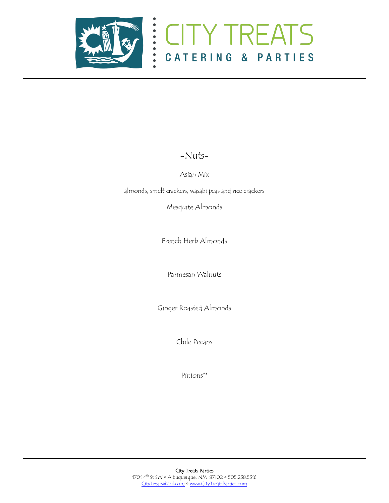

#### -Nuts-

ELTYTREATS

Asian Mix

almonds, smelt crackers, wasabi peas and rice crackers

Mesquite Almonds

French Herb Almonds

Parmesan Walnuts

Ginger Roasted Almonds

Chile Pecans

Pinions\*\*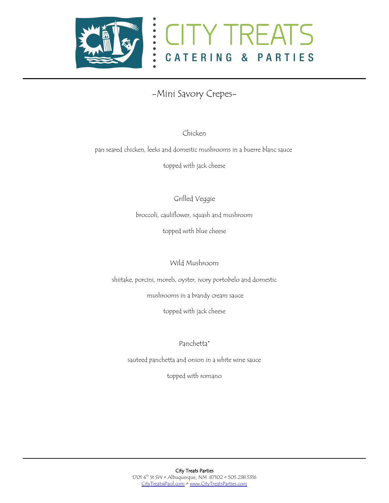

## -Mini Savory Crepes-

Chicken

pan seared chicken, leeks and domestic mushrooms in a buerre blanc sauce

topped with jack cheese

Grilled Veggie

broccoli, cauliflower, squash and mushroom

topped with blue cheese

Wild Mushroom

shiitake, porcini, morels, oyster, ivory portobelo and domestic

mushrooms in a brandy cream sauce

topped with jack cheese

Panchetta\*

sauteed panchetta and onion in a white wine sauce

topped with romano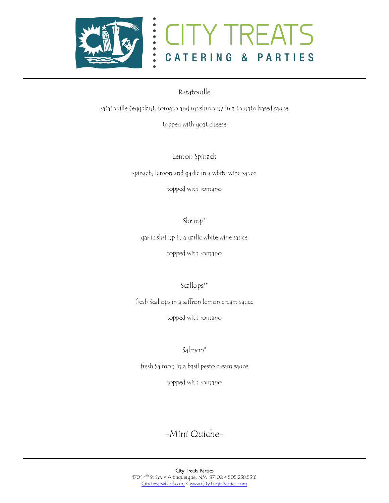



Ratatouille

ratatouille (eggplant, tomato and mushroom) in a tomato based sauce

topped with goat cheese

Lemon Spinach

spinach, lemon and garlic in a white wine sauce

topped with romano

Shrimp\*

garlic shrimp in a garlic white wine sauce

topped with romano

Scallops\*\*

fresh Scallops in a saffron lemon cream sauce

topped with romano

Salmon\*

fresh Salmon in a basil pesto cream sauce

topped with romano

## -Mini Quiche-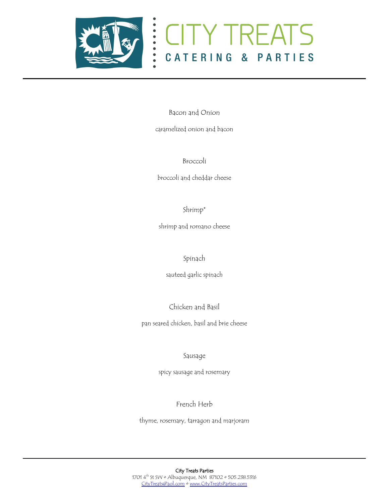



Bacon and Onion

caramelized onion and bacon

Broccoli

broccoli and cheddar cheese

Shrimp\*

shrimp and romano cheese

#### Spinach

sauteed garlic spinach

Chicken and Basil

pan seared chicken, basil and brie cheese

Sausage

spicy sausage and rosemary

French Herb

thyme, rosemary, tarragon and marjoram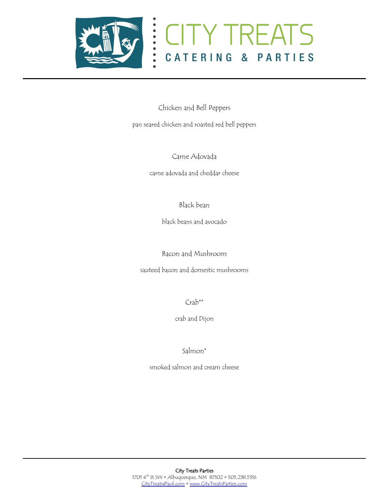



Chicken and Bell Peppers pan seared chicken and roasted red bell peppers

Carne Adovada

carne adovada and cheddar cheese

Black bean

black beans and avocado

Bacon and Mushroom

sauteed bacon and domestic mushrooms

 $Crab**$ 

crab and Dijon

Salmon\*

smoked salmon and cream cheese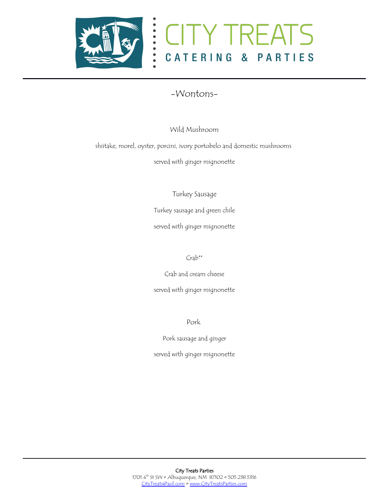



### -Wontons-

Wild Mushroom

shiitake, morel, oyster, porcini, ivory portobelo and domestic mushrooms

served with ginger mignonette

Turkey Sausage

Turkey sausage and green chile

served with ginger mignonette

Crab\*\*

Crab and cream cheese

served with ginger mignonette

Pork

Pork sausage and ginger

served with ginger mignonette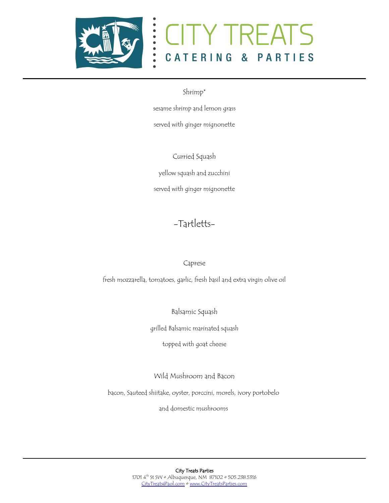

---------

# **CITY TREATS** CATERING & PARTIES

Shrimp\* sesame shrimp and lemon grass served with ginger mignonette

Curried Squash yellow squash and zucchini served with ginger mignonette

## -Tartletts-

#### Caprese

fresh mozzarella, tomatoes, garlic, fresh basil and extra virgin olive oil

Balsamic Squash

grilled Balsamic marinated squash

topped with goat cheese

Wild Mushroom and Bacon

bacon, Sauteed shiitake, oyster, porccini, morels, ivory portobelo

and domestic mushrooms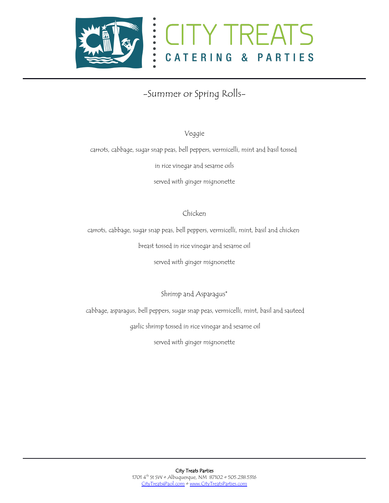

-Summer or Spring Rolls-

Veggie

carrots, cabbage, sugar snap peas, bell peppers, vermicelli, mint and basil tossed

in rice vinegar and sesame oils

served with ginger mignonette

Chicken

carrots, cabbage, sugar snap peas, bell peppers, vermicelli, mint, basil and chicken

breast tossed in rice vinegar and sesame oil

served with ginger mignonette

Shrimp and Asparagus\*

cabbage, asparagus, bell peppers, sugar snap peas, vermicelli, mint, basil and sauteed

garlic shrimp tossed in rice vinegar and sesame oil

served with ginger mignonette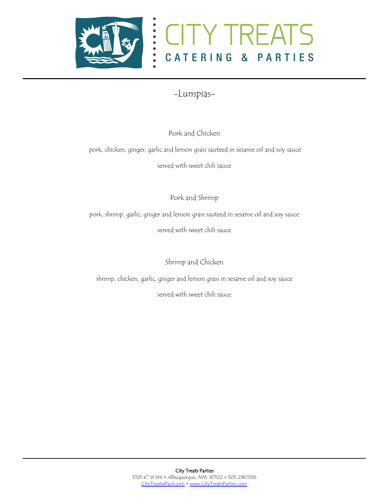



### -Lumpias-

Pork and Chicken

pork, chicken, ginger, garlic and lemon grass sauteed in sesame oil and soy sauce

served with sweet chili sauce

Pork and Shrimp

pork, shrimp, garlic, ginger and lemon grass sauteed in sesame oil and soy sauce

served with sweet chili sauce

Shrimp and Chicken

shrimp, chicken, garlic, ginger and lemon grass in sesame oil and soy sauce

served with sweet chili sauce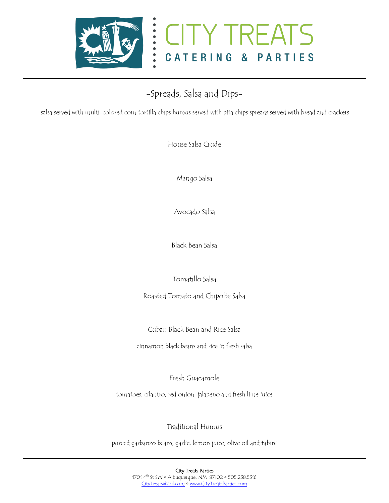

## -Spreads, Salsa and Dips-

salsa served with multi-colored corn tortilla chips humus served with pita chips spreads served with bread and crackers

House Salsa Crude

Mango Salsa

Avocado Salsa

Black Bean Salsa

Tomatillo Salsa

Roasted Tomato and Chipolte Salsa

Cuban Black Bean and Rice Salsa

cinnamon black beans and rice in fresh salsa

Fresh Guacamole

tomatoes, cilantro, red onion, jalapeno and fresh lime juice

Traditional Humus

pureed garbanzo beans, garlic, lemon juice, olive oil and tahini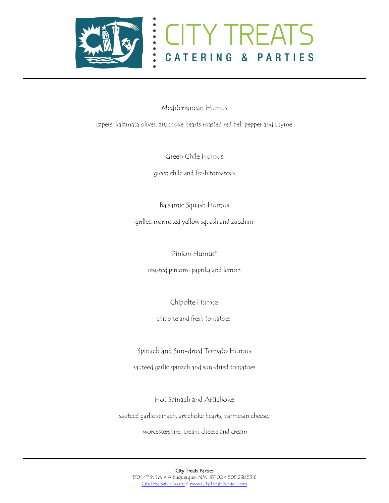

## --------**CITY TREATS** CATERING & PARTIES

Mediterranean Humus

capers, kalamata olives, artichoke hearts roasted red bell pepper and thyme

Green Chile Humus

green chile and fresh tomatoes

Balsamic Squash Humus

grilled marinated yellow squash and zucchini

Pinion Humus\*

roasted pinions, paprika and lemon

Chipolte Humus

chipolte and fresh tomatoes

Spinach and Sun-dried Tomato Humus

sauteed garlic spinach and sun-dried tomatoes

Hot Spinach and Artichoke

sauteed garlic spinach, artichoke hearts, parmesan cheese,

worcestershire, cream cheese and cream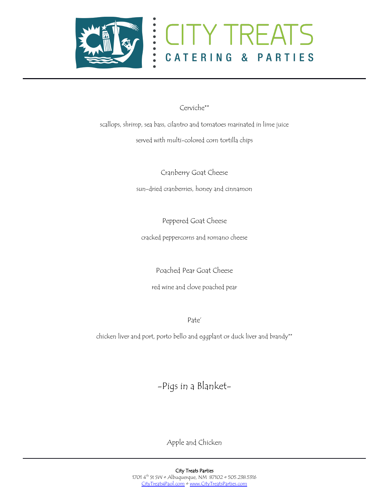



Cerviche\*\*

scallops, shrimp, sea bass, cilantro and tomatoes marinated in lime juice

served with multi-colored corn tortilla chips

Cranberry Goat Cheese

sun-dried cranberries, honey and cinnamon

Peppered Goat Cheese

cracked peppercorns and romano cheese

Poached Pear Goat Cheese

red wine and clove poached pear

Pate'

chicken liver and port, porto bello and eggplant or duck liver and brandy\*\*

-Pigs in a Blanket-

Apple and Chicken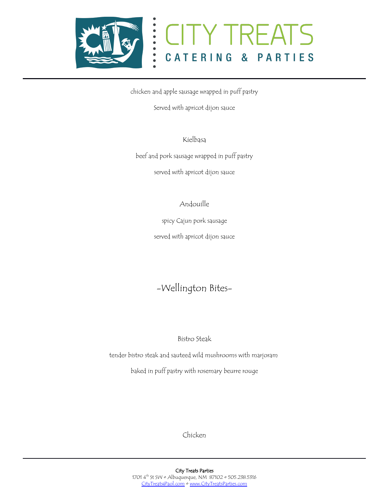

# **CITY TREATS** CATERING & PARTIES

chicken and apple sausage wrapped in puff pastry

Served with apricot dijon sauce

Kielbasa

beef and pork sausage wrapped in puff pastry

served with apricot dijon sauce

Andouille

spicy Cajun pork sausage

served with apricot dijon sauce

## -Wellington Bites-

Bistro Steak

tender bistro steak and sauteed wild mushrooms with marjoram

baked in puff pastry with rosemary beurre rouge

Chicken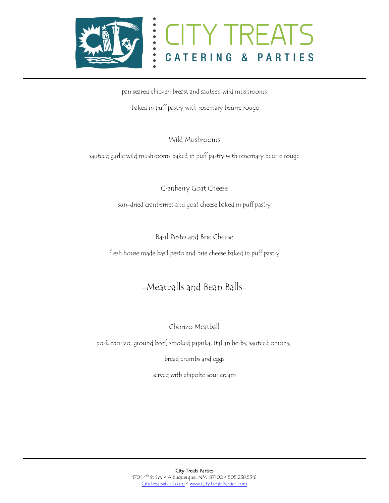

pan seared chicken breast and sauteed wild mushrooms

baked in puff pastry with rosemary beurre rouge

Wild Mushrooms

sauteed garlic wild mushrooms baked in puff pastry with rosemary beurre rouge

Cranberry Goat Cheese

sun-dried cranberries and goat cheese baked in puff pastry

Basil Pesto and Brie Cheese

fresh house made basil pesto and brie cheese baked in puff pastry

## -Meatballs and Bean Balls-

Chorizo Meatball

pork chorizo, ground beef, smoked paprika, Italian herbs, sauteed onions,

bread crumbs and eggs

served with chipolte sour cream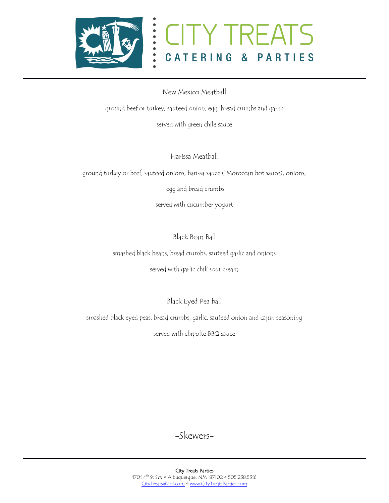

New Mexico Meatball

ground beef or turkey, sauteed onion, egg, bread crumbs and garlic

served with green chile sauce

Harissa Meatball

ground turkey or beef, sauteed onions, harissa sauce ( Moroccan hot sauce), onions,

egg and bread crumbs

served with cucumber yogurt

Black Bean Ball

smashed black beans, bread crumbs, sauteed garlic and onions

served with garlic chili sour cream

Black Eyed Pea ball

smashed black eyed peas, bread crumbs, garlic, sauteed onion and cajun seasoning

served with chipolte BBQ sauce

-Skewers-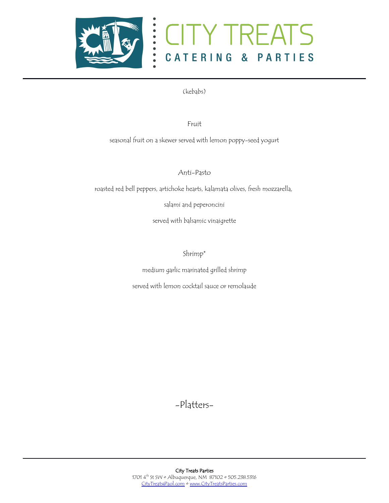



(kebabs)

Fruit

seasonal fruit on a skewer served with lemon poppy-seed yogurt

Anti-Pasto

roasted red bell peppers, artichoke hearts, kalamata olives, fresh mozzarella,

salami and peperoncini

served with balsamic vinaigrette

Shrimp\*

medium garlic marinated grilled shrimp

served with lemon cocktail sauce or remolaude

-Platters-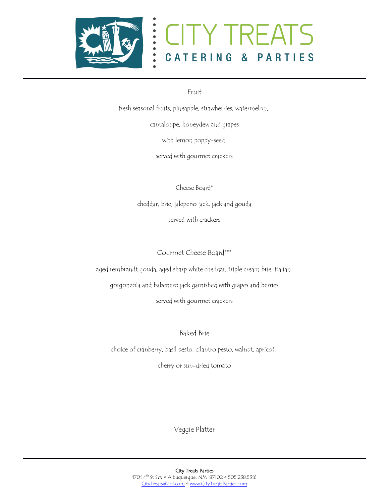



#### Fruit

fresh seasonal fruits, pineapple, strawberries, watermelon,

cantaloupe, honeydew and grapes

with lemon poppy-seed

served with gourmet crackers

Cheese Board\*

cheddar, brie, jalepeno jack, jack and gouda

served with crackers

Gourmet Cheese Board\*\*\*

aged rembrandt gouda, aged sharp white cheddar, triple cream brie, italian

gorgonzola and habenero jack garnished with grapes and berries

served with gourmet crackers

Baked Brie

choice of cranberry, basil pesto, cilantro pesto, walnut, apricot,

cherry or sun-dried tomato

Veggie Platter